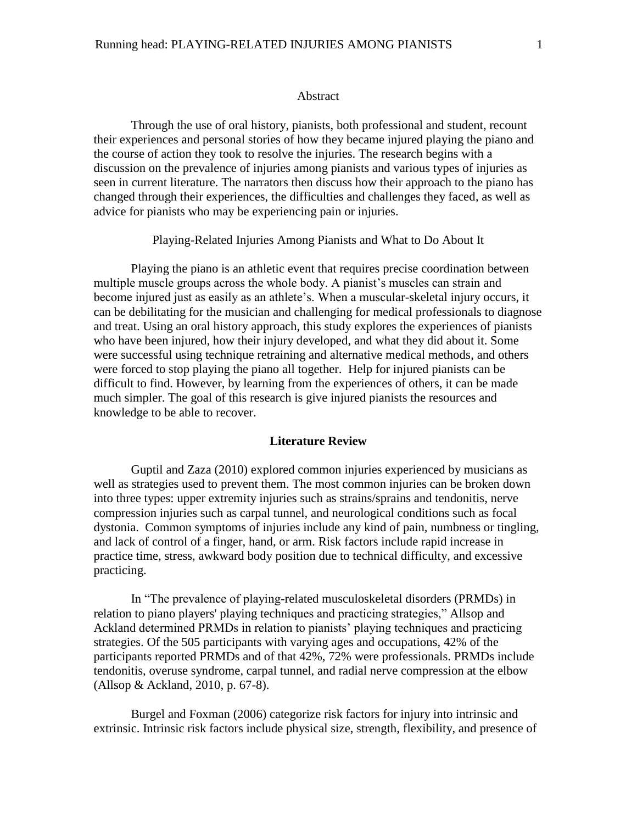#### Abstract

Through the use of oral history, pianists, both professional and student, recount their experiences and personal stories of how they became injured playing the piano and the course of action they took to resolve the injuries. The research begins with a discussion on the prevalence of injuries among pianists and various types of injuries as seen in current literature. The narrators then discuss how their approach to the piano has changed through their experiences, the difficulties and challenges they faced, as well as advice for pianists who may be experiencing pain or injuries.

Playing-Related Injuries Among Pianists and What to Do About It

Playing the piano is an athletic event that requires precise coordination between multiple muscle groups across the whole body. A pianist's muscles can strain and become injured just as easily as an athlete's. When a muscular-skeletal injury occurs, it can be debilitating for the musician and challenging for medical professionals to diagnose and treat. Using an oral history approach, this study explores the experiences of pianists who have been injured, how their injury developed, and what they did about it. Some were successful using technique retraining and alternative medical methods, and others were forced to stop playing the piano all together. Help for injured pianists can be difficult to find. However, by learning from the experiences of others, it can be made much simpler. The goal of this research is give injured pianists the resources and knowledge to be able to recover.

## **Literature Review**

Guptil and Zaza (2010) explored common injuries experienced by musicians as well as strategies used to prevent them. The most common injuries can be broken down into three types: upper extremity injuries such as strains/sprains and tendonitis, nerve compression injuries such as carpal tunnel, and neurological conditions such as focal dystonia. Common symptoms of injuries include any kind of pain, numbness or tingling, and lack of control of a finger, hand, or arm. Risk factors include rapid increase in practice time, stress, awkward body position due to technical difficulty, and excessive practicing.

In "The prevalence of playing-related musculoskeletal disorders (PRMDs) in relation to piano players' playing techniques and practicing strategies," Allsop and Ackland determined PRMDs in relation to pianists' playing techniques and practicing strategies. Of the 505 participants with varying ages and occupations, 42% of the participants reported PRMDs and of that 42%, 72% were professionals. PRMDs include tendonitis, overuse syndrome, carpal tunnel, and radial nerve compression at the elbow (Allsop & Ackland, 2010, p. 67-8).

Burgel and Foxman (2006) categorize risk factors for injury into intrinsic and extrinsic. Intrinsic risk factors include physical size, strength, flexibility, and presence of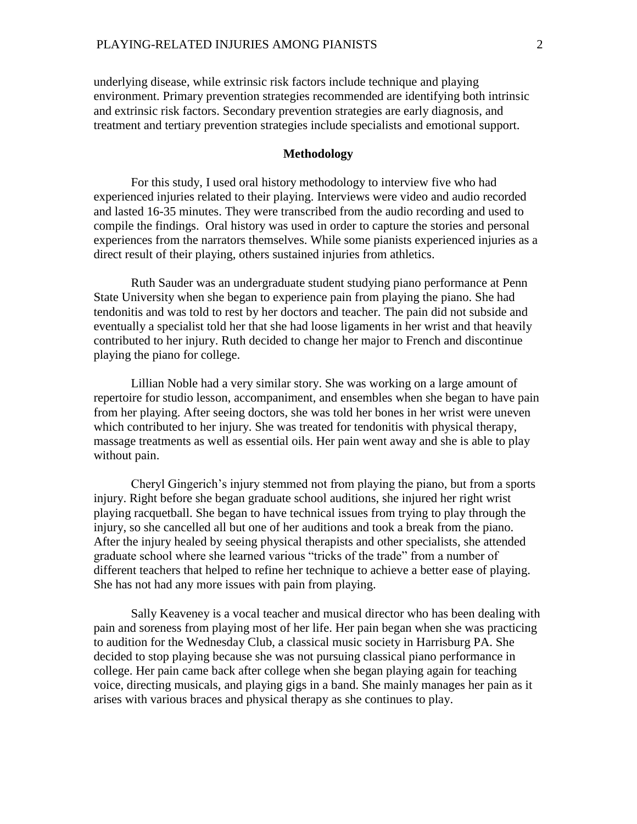underlying disease, while extrinsic risk factors include technique and playing environment. Primary prevention strategies recommended are identifying both intrinsic and extrinsic risk factors. Secondary prevention strategies are early diagnosis, and treatment and tertiary prevention strategies include specialists and emotional support.

## **Methodology**

For this study, I used oral history methodology to interview five who had experienced injuries related to their playing. Interviews were video and audio recorded and lasted 16-35 minutes. They were transcribed from the audio recording and used to compile the findings. Oral history was used in order to capture the stories and personal experiences from the narrators themselves. While some pianists experienced injuries as a direct result of their playing, others sustained injuries from athletics.

Ruth Sauder was an undergraduate student studying piano performance at Penn State University when she began to experience pain from playing the piano. She had tendonitis and was told to rest by her doctors and teacher. The pain did not subside and eventually a specialist told her that she had loose ligaments in her wrist and that heavily contributed to her injury. Ruth decided to change her major to French and discontinue playing the piano for college.

Lillian Noble had a very similar story. She was working on a large amount of repertoire for studio lesson, accompaniment, and ensembles when she began to have pain from her playing. After seeing doctors, she was told her bones in her wrist were uneven which contributed to her injury. She was treated for tendonitis with physical therapy, massage treatments as well as essential oils. Her pain went away and she is able to play without pain.

Cheryl Gingerich's injury stemmed not from playing the piano, but from a sports injury. Right before she began graduate school auditions, she injured her right wrist playing racquetball. She began to have technical issues from trying to play through the injury, so she cancelled all but one of her auditions and took a break from the piano. After the injury healed by seeing physical therapists and other specialists, she attended graduate school where she learned various "tricks of the trade" from a number of different teachers that helped to refine her technique to achieve a better ease of playing. She has not had any more issues with pain from playing.

Sally Keaveney is a vocal teacher and musical director who has been dealing with pain and soreness from playing most of her life. Her pain began when she was practicing to audition for the Wednesday Club, a classical music society in Harrisburg PA. She decided to stop playing because she was not pursuing classical piano performance in college. Her pain came back after college when she began playing again for teaching voice, directing musicals, and playing gigs in a band. She mainly manages her pain as it arises with various braces and physical therapy as she continues to play.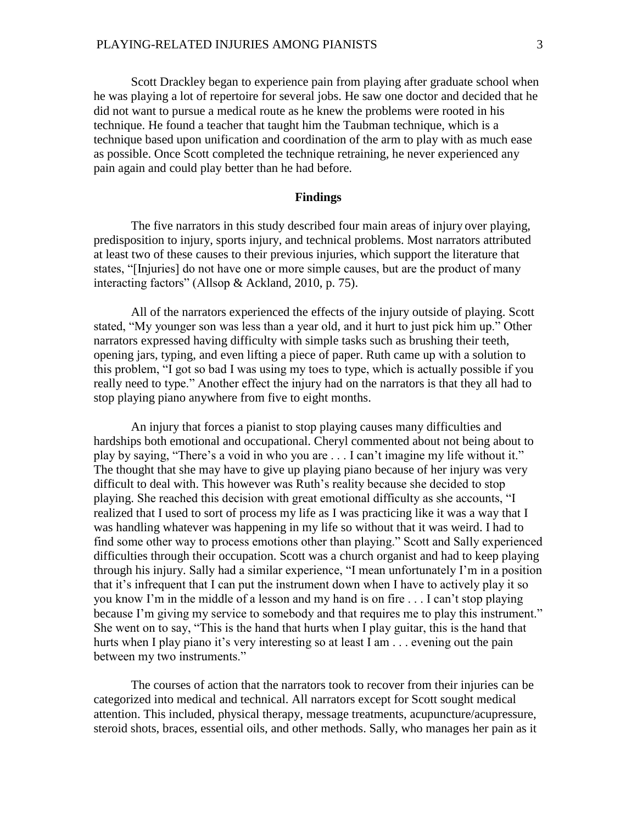Scott Drackley began to experience pain from playing after graduate school when he was playing a lot of repertoire for several jobs. He saw one doctor and decided that he did not want to pursue a medical route as he knew the problems were rooted in his technique. He found a teacher that taught him the Taubman technique, which is a technique based upon unification and coordination of the arm to play with as much ease as possible. Once Scott completed the technique retraining, he never experienced any pain again and could play better than he had before.

#### **Findings**

The five narrators in this study described four main areas of injury over playing, predisposition to injury, sports injury, and technical problems. Most narrators attributed at least two of these causes to their previous injuries, which support the literature that states, "[Injuries] do not have one or more simple causes, but are the product of many interacting factors" (Allsop & Ackland, 2010, p. 75).

All of the narrators experienced the effects of the injury outside of playing. Scott stated, "My younger son was less than a year old, and it hurt to just pick him up." Other narrators expressed having difficulty with simple tasks such as brushing their teeth, opening jars, typing, and even lifting a piece of paper. Ruth came up with a solution to this problem, "I got so bad I was using my toes to type, which is actually possible if you really need to type." Another effect the injury had on the narrators is that they all had to stop playing piano anywhere from five to eight months.

An injury that forces a pianist to stop playing causes many difficulties and hardships both emotional and occupational. Cheryl commented about not being about to play by saying, "There's a void in who you are . . . I can't imagine my life without it." The thought that she may have to give up playing piano because of her injury was very difficult to deal with. This however was Ruth's reality because she decided to stop playing. She reached this decision with great emotional difficulty as she accounts, "I realized that I used to sort of process my life as I was practicing like it was a way that I was handling whatever was happening in my life so without that it was weird. I had to find some other way to process emotions other than playing." Scott and Sally experienced difficulties through their occupation. Scott was a church organist and had to keep playing through his injury. Sally had a similar experience, "I mean unfortunately I'm in a position that it's infrequent that I can put the instrument down when I have to actively play it so you know I'm in the middle of a lesson and my hand is on fire . . . I can't stop playing because I'm giving my service to somebody and that requires me to play this instrument." She went on to say, "This is the hand that hurts when I play guitar, this is the hand that hurts when I play piano it's very interesting so at least I am . . . evening out the pain between my two instruments."

The courses of action that the narrators took to recover from their injuries can be categorized into medical and technical. All narrators except for Scott sought medical attention. This included, physical therapy, message treatments, acupuncture/acupressure, steroid shots, braces, essential oils, and other methods. Sally, who manages her pain as it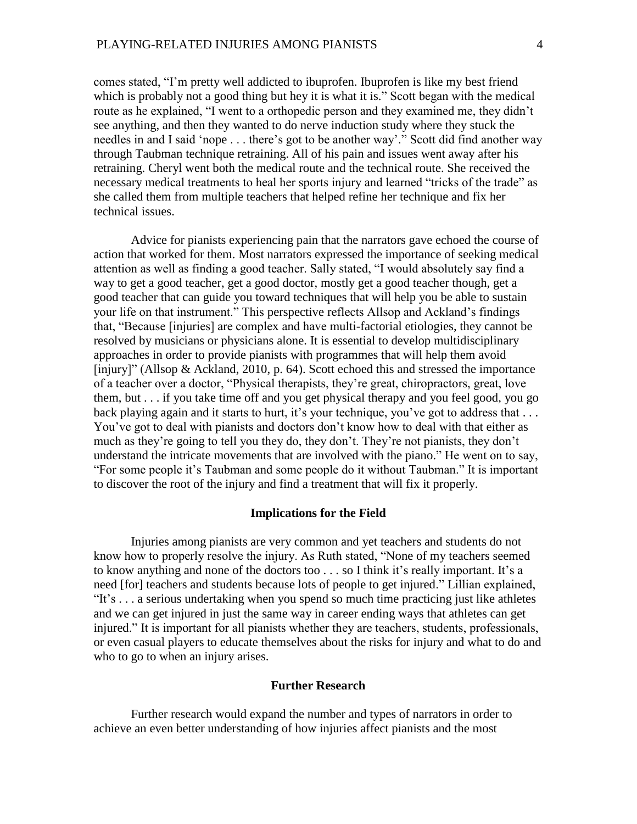comes stated, "I'm pretty well addicted to ibuprofen. Ibuprofen is like my best friend which is probably not a good thing but hey it is what it is." Scott began with the medical route as he explained, "I went to a orthopedic person and they examined me, they didn't see anything, and then they wanted to do nerve induction study where they stuck the needles in and I said 'nope . . . there's got to be another way'." Scott did find another way through Taubman technique retraining. All of his pain and issues went away after his retraining. Cheryl went both the medical route and the technical route. She received the necessary medical treatments to heal her sports injury and learned "tricks of the trade" as she called them from multiple teachers that helped refine her technique and fix her technical issues.

Advice for pianists experiencing pain that the narrators gave echoed the course of action that worked for them. Most narrators expressed the importance of seeking medical attention as well as finding a good teacher. Sally stated, "I would absolutely say find a way to get a good teacher, get a good doctor, mostly get a good teacher though, get a good teacher that can guide you toward techniques that will help you be able to sustain your life on that instrument." This perspective reflects Allsop and Ackland's findings that, "Because [injuries] are complex and have multi-factorial etiologies, they cannot be resolved by musicians or physicians alone. It is essential to develop multidisciplinary approaches in order to provide pianists with programmes that will help them avoid [injury]" (Allsop & Ackland, 2010, p. 64). Scott echoed this and stressed the importance of a teacher over a doctor, "Physical therapists, they're great, chiropractors, great, love them, but . . . if you take time off and you get physical therapy and you feel good, you go back playing again and it starts to hurt, it's your technique, you've got to address that ... You've got to deal with pianists and doctors don't know how to deal with that either as much as they're going to tell you they do, they don't. They're not pianists, they don't understand the intricate movements that are involved with the piano." He went on to say, "For some people it's Taubman and some people do it without Taubman." It is important to discover the root of the injury and find a treatment that will fix it properly.

### **Implications for the Field**

Injuries among pianists are very common and yet teachers and students do not know how to properly resolve the injury. As Ruth stated, "None of my teachers seemed to know anything and none of the doctors too . . . so I think it's really important. It's a need [for] teachers and students because lots of people to get injured." Lillian explained, "It's . . . a serious undertaking when you spend so much time practicing just like athletes and we can get injured in just the same way in career ending ways that athletes can get injured." It is important for all pianists whether they are teachers, students, professionals, or even casual players to educate themselves about the risks for injury and what to do and who to go to when an injury arises.

## **Further Research**

Further research would expand the number and types of narrators in order to achieve an even better understanding of how injuries affect pianists and the most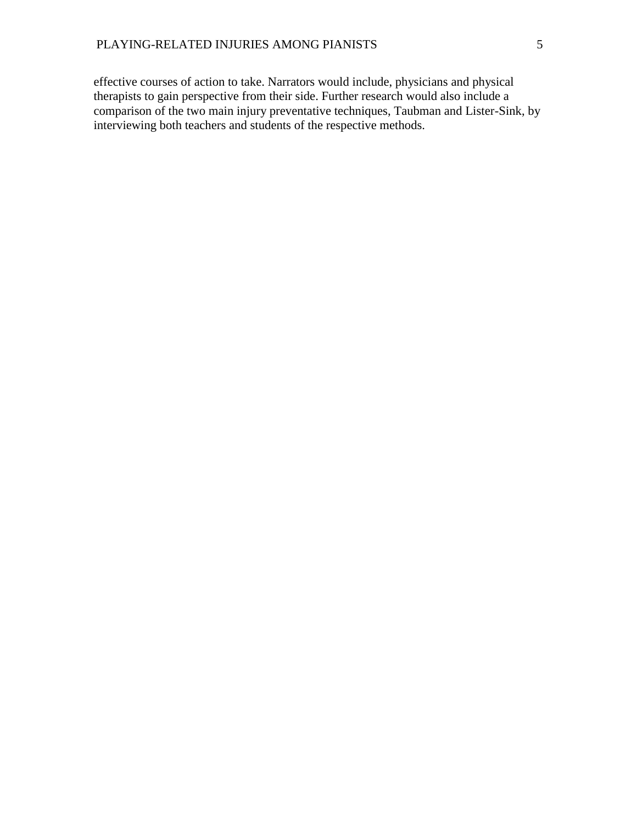effective courses of action to take. Narrators would include, physicians and physical therapists to gain perspective from their side. Further research would also include a comparison of the two main injury preventative techniques, Taubman and Lister-Sink, by interviewing both teachers and students of the respective methods.